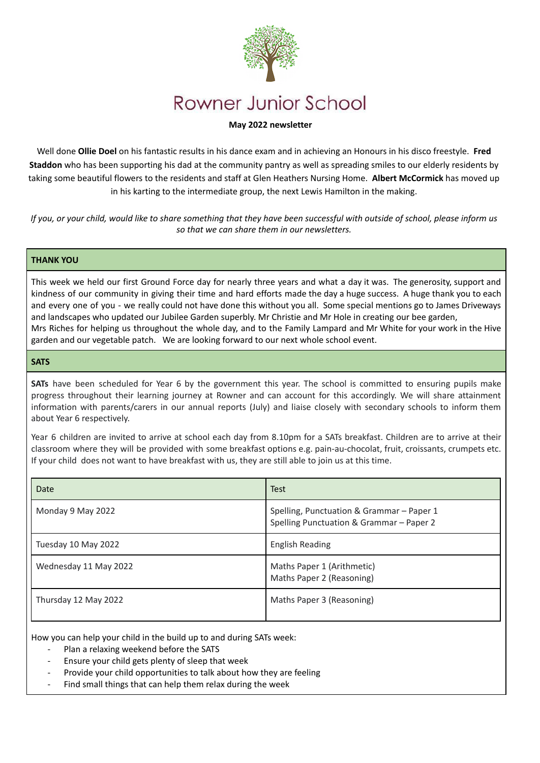

# **Rowner Junior School**

# **May 2022 newsletter**

Well done **Ollie Doel** on his fantastic results in his dance exam and in achieving an Honours in his disco freestyle. **Fred Staddon** who has been supporting his dad at the community pantry as well as spreading smiles to our elderly residents by taking some beautiful flowers to the residents and staff at Glen Heathers Nursing Home. **Albert McCormick** has moved up in his karting to the intermediate group, the next Lewis Hamilton in the making.

*If you, or your child, would like to share something that they have been successful with outside of school, please inform us so that we can share them in our newsletters.*

### **THANK YOU**

This week we held our first Ground Force day for nearly three years and what a day it was. The generosity, support and kindness of our community in giving their time and hard efforts made the day a huge success. A huge thank you to each and every one of you - we really could not have done this without you all. Some special mentions go to James Driveways and landscapes who updated our Jubilee Garden superbly. Mr Christie and Mr Hole in creating our bee garden, Mrs Riches for helping us throughout the whole day, and to the Family Lampard and Mr White for your work in the Hive garden and our vegetable patch. We are looking forward to our next whole school event.

#### **SATS**

**SATs** have been scheduled for Year 6 by the government this year. The school is committed to ensuring pupils make progress throughout their learning journey at Rowner and can account for this accordingly. We will share attainment information with parents/carers in our annual reports (July) and liaise closely with secondary schools to inform them about Year 6 respectively.

Year 6 children are invited to arrive at school each day from 8.10pm for a SATs breakfast. Children are to arrive at their classroom where they will be provided with some breakfast options e.g. pain-au-chocolat, fruit, croissants, crumpets etc. If your child does not want to have breakfast with us, they are still able to join us at this time.

| Date                  | <b>Test</b>                                                                           |
|-----------------------|---------------------------------------------------------------------------------------|
| Monday 9 May 2022     | Spelling, Punctuation & Grammar - Paper 1<br>Spelling Punctuation & Grammar - Paper 2 |
| Tuesday 10 May 2022   | <b>English Reading</b>                                                                |
| Wednesday 11 May 2022 | Maths Paper 1 (Arithmetic)<br>Maths Paper 2 (Reasoning)                               |
| Thursday 12 May 2022  | Maths Paper 3 (Reasoning)                                                             |

How you can help your child in the build up to and during SATs week:

- Plan a relaxing weekend before the SATS
- Ensure your child gets plenty of sleep that week
- Provide your child opportunities to talk about how they are feeling
- Find small things that can help them relax during the week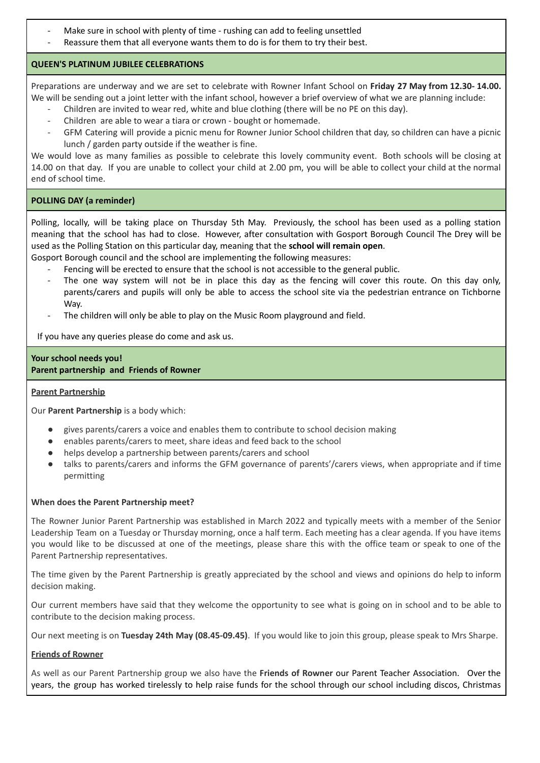- Make sure in school with plenty of time rushing can add to feeling unsettled
- Reassure them that all everyone wants them to do is for them to try their best.

# **QUEEN'S PLATINUM JUBILEE CELEBRATIONS**

Preparations are underway and we are set to celebrate with Rowner Infant School on **Friday 27 May from 12.30- 14.00.** We will be sending out a joint letter with the infant school, however a brief overview of what we are planning include:

- Children are invited to wear red, white and blue clothing (there will be no PE on this day).
- Children are able to wear a tiara or crown bought or homemade.
- GFM Catering will provide a picnic menu for Rowner Junior School children that day, so children can have a picnic lunch / garden party outside if the weather is fine.

We would love as many families as possible to celebrate this lovely community event. Both schools will be closing at 14.00 on that day. If you are unable to collect your child at 2.00 pm, you will be able to collect your child at the normal end of school time.

# **POLLING DAY (a reminder)**

Polling, locally, will be taking place on Thursday 5th May. Previously, the school has been used as a polling station meaning that the school has had to close. However, after consultation with Gosport Borough Council The Drey will be used as the Polling Station on this particular day, meaning that the **school will remain open**.

Gosport Borough council and the school are implementing the following measures:

- Fencing will be erected to ensure that the school is not accessible to the general public.
- The one way system will not be in place this day as the fencing will cover this route. On this day only, parents/carers and pupils will only be able to access the school site via the pedestrian entrance on Tichborne Way.
- The children will only be able to play on the Music Room playground and field.

If you have any queries please do come and ask us.

# **Your school needs you! Parent partnership and Friends of Rowner**

# **Parent Partnership**

Our **Parent Partnership** is a body which:

- gives parents/carers a voice and enables them to contribute to school decision making
- enables parents/carers to meet, share ideas and feed back to the school
- helps develop a partnership between parents/carers and school
- talks to parents/carers and informs the GFM governance of parents'/carers views, when appropriate and if time permitting

# **When does the Parent Partnership meet?**

The Rowner Junior Parent Partnership was established in March 2022 and typically meets with a member of the Senior Leadership Team on a Tuesday or Thursday morning, once a half term. Each meeting has a clear agenda. If you have items you would like to be discussed at one of the meetings, please share this with the office team or speak to one of the Parent Partnership representatives.

The time given by the Parent Partnership is greatly appreciated by the school and views and opinions do help to inform decision making.

Our current members have said that they welcome the opportunity to see what is going on in school and to be able to contribute to the decision making process.

Our next meeting is on **Tuesday 24th May (08.45-09.45)**. If you would like to join this group, please speak to Mrs Sharpe.

# **Friends of Rowner**

As well as our Parent Partnership group we also have the **Friends of Rowner** our Parent Teacher Association. Over the years, the group has worked tirelessly to help raise funds for the school through our school including discos, Christmas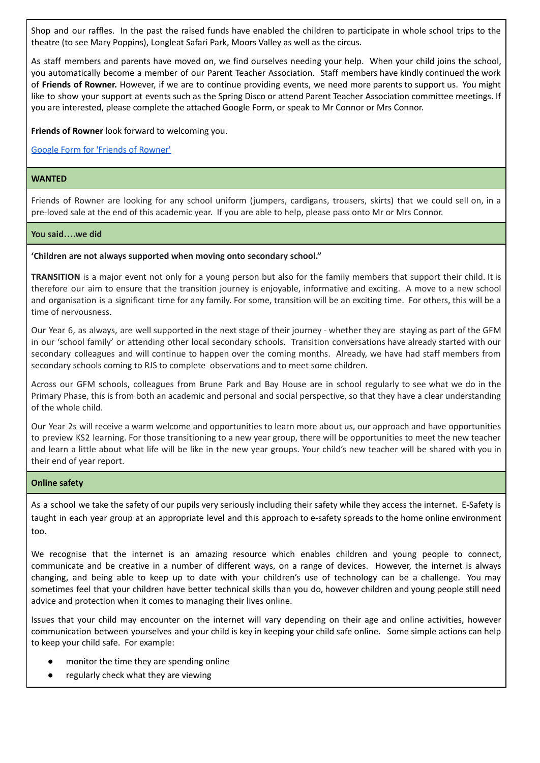Shop and our raffles. In the past the raised funds have enabled the children to participate in whole school trips to the theatre (to see Mary Poppins), Longleat Safari Park, Moors Valley as well as the circus.

As staff members and parents have moved on, we find ourselves needing your help. When your child joins the school, you automatically become a member of our Parent Teacher Association. Staff members have kindly continued the work of **Friends of Rowner.** However, if we are to continue providing events, we need more parents to support us. You might like to show your support at events such as the Spring Disco or attend Parent Teacher Association committee meetings. If you are interested, please complete the attached Google Form, or speak to Mr Connor or Mrs Connor.

**Friends of Rowner** look forward to welcoming you.

[Google Form for 'Friends of Rowner'](https://docs.google.com/forms/d/1Vxp4PpioX_pxVkWwvLLxbNz0907s4Hg7kdAH5Y53u8s/edit)

#### **WANTED**

Friends of Rowner are looking for any school uniform (jumpers, cardigans, trousers, skirts) that we could sell on, in a pre-loved sale at the end of this academic year. If you are able to help, please pass onto Mr or Mrs Connor.

#### **You said….we did**

#### **'Children are not always supported when moving onto secondary school."**

**TRANSITION** is a major event not only for a young person but also for the family members that support their child. It is therefore our aim to ensure that the transition journey is enjoyable, informative and exciting. A move to a new school and organisation is a significant time for any family. For some, transition will be an exciting time. For others, this will be a time of nervousness.

Our Year 6, as always, are well supported in the next stage of their journey - whether they are staying as part of the GFM in our 'school family' or attending other local secondary schools. Transition conversations have already started with our secondary colleagues and will continue to happen over the coming months. Already, we have had staff members from secondary schools coming to RJS to complete observations and to meet some children.

Across our GFM schools, colleagues from Brune Park and Bay House are in school regularly to see what we do in the Primary Phase, this is from both an academic and personal and social perspective, so that they have a clear understanding of the whole child.

Our Year 2s will receive a warm welcome and opportunities to learn more about us, our approach and have opportunities to preview KS2 learning. For those transitioning to a new year group, there will be opportunities to meet the new teacher and learn a little about what life will be like in the new year groups. Your child's new teacher will be shared with you in their end of year report.

#### **Online safety**

As a school we take the safety of our pupils very seriously including their safety while they access the internet. E-Safety is taught in each year group at an appropriate level and this approach to e-safety spreads to the home online environment too.

We recognise that the internet is an amazing resource which enables children and young people to connect, communicate and be creative in a number of different ways, on a range of devices. However, the internet is always changing, and being able to keep up to date with your children's use of technology can be a challenge. You may sometimes feel that your children have better technical skills than you do, however children and young people still need advice and protection when it comes to managing their lives online.

Issues that your child may encounter on the internet will vary depending on their age and online activities, however communication between yourselves and your child is key in keeping your child safe online. Some simple actions can help to keep your child safe. For example:

- monitor the time they are spending online
- regularly check what they are viewing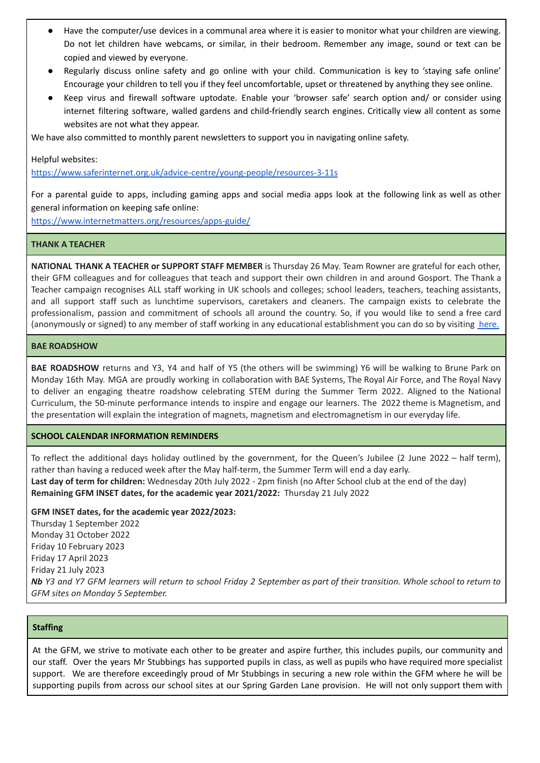- Have the computer/use devices in a communal area where it is easier to monitor what your children are viewing. Do not let children have webcams, or similar, in their bedroom. Remember any image, sound or text can be copied and viewed by everyone.
- Regularly discuss online safety and go online with your child. Communication is key to 'staying safe online' Encourage your children to tell you if they feel uncomfortable, upset or threatened by anything they see online.
- Keep virus and firewall software uptodate. Enable your 'browser safe' search option and/ or consider using internet filtering software, walled gardens and child-friendly search engines. Critically view all content as some websites are not what they appear.

We have also committed to monthly parent newsletters to support you in navigating online safety.

Helpful websites:

<https://www.saferinternet.org.uk/advice-centre/young-people/resources-3-11s>

For a parental guide to apps, including gaming apps and social media apps look at the following link as well as other general information on keeping safe online:

<https://www.internetmatters.org/resources/apps-guide/>

#### **THANK A TEACHER**

**NATIONAL THANK A TEACHER or SUPPORT STAFF MEMBER** is Thursday 26 May. Team Rowner are grateful for each other, their GFM colleagues and for colleagues that teach and support their own children in and around Gosport. The Thank a Teacher campaign recognises ALL staff working in UK schools and colleges; school leaders, teachers, teaching assistants, and all support staff such as lunchtime supervisors, caretakers and cleaners. The campaign exists to celebrate the professionalism, passion and commitment of schools all around the country. So, if you would like to send a free card (anonymously or signed) to any member of staff working in any educational establishment you can do so by visiting [here.](https://thankateacher.co.uk/thank-a-teacher/thank-a-teacher-form/)

#### **BAE ROADSHOW**

**BAE ROADSHOW** returns and Y3, Y4 and half of Y5 (the others will be swimming) Y6 will be walking to Brune Park on Monday 16th May. MGA are proudly working in collaboration with BAE Systems, The Royal Air Force, and The Royal Navy to deliver an engaging theatre roadshow celebrating STEM during the Summer Term 2022. Aligned to the National Curriculum, the 50-minute performance intends to inspire and engage our learners. The 2022 theme is Magnetism, and the presentation will explain the integration of magnets, magnetism and electromagnetism in our everyday life.

#### **SCHOOL CALENDAR INFORMATION REMINDERS**

To reflect the additional days holiday outlined by the government, for the Queen's Jubilee (2 June 2022 – half term), rather than having a reduced week after the May half-term, the Summer Term will end a day early. **Last day of term for children:** Wednesday 20th July 2022 - 2pm finish (no After School club at the end of the day) **Remaining GFM INSET dates, for the academic year 2021/2022:** Thursday 21 July 2022

#### **GFM INSET dates, for the academic year 2022/2023:**

Thursday 1 September 2022 Monday 31 October 2022 Friday 10 February 2023 Friday 17 April 2023 Friday 21 July 2023 Nb Y3 and Y7 GFM learners will return to school Friday 2 September as part of their transition. Whole school to return to *GFM sites on Monday 5 September.*

# **Staffing**

At the GFM, we strive to motivate each other to be greater and aspire further, this includes pupils, our community and our staff. Over the years Mr Stubbings has supported pupils in class, as well as pupils who have required more specialist support. We are therefore exceedingly proud of Mr Stubbings in securing a new role within the GFM where he will be supporting pupils from across our school sites at our Spring Garden Lane provision. He will not only support them with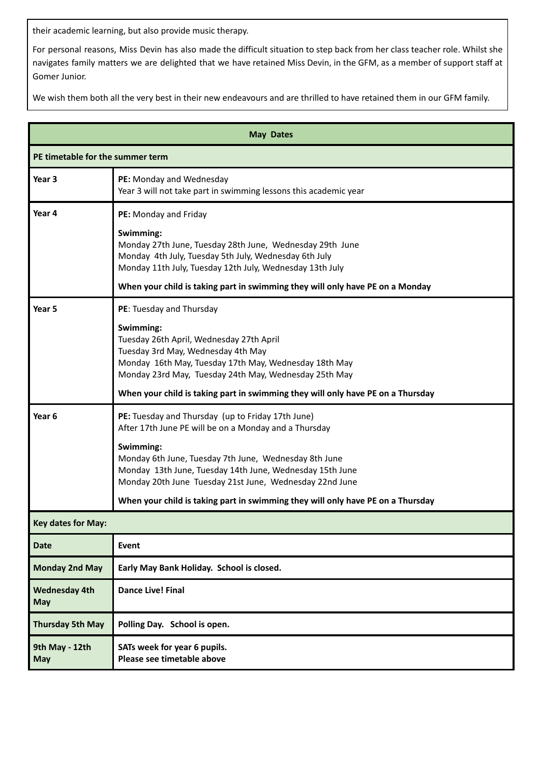their academic learning, but also provide music therapy.

For personal reasons, Miss Devin has also made the difficult situation to step back from her class teacher role. Whilst she navigates family matters we are delighted that we have retained Miss Devin, in the GFM, as a member of support staff at Gomer Junior.

We wish them both all the very best in their new endeavours and are thrilled to have retained them in our GFM family.

| <b>May Dates</b>                   |                                                                                                                                                                                                               |  |
|------------------------------------|---------------------------------------------------------------------------------------------------------------------------------------------------------------------------------------------------------------|--|
| PE timetable for the summer term   |                                                                                                                                                                                                               |  |
| Year 3                             | PE: Monday and Wednesday<br>Year 3 will not take part in swimming lessons this academic year                                                                                                                  |  |
| Year 4                             | PE: Monday and Friday                                                                                                                                                                                         |  |
|                                    | Swimming:<br>Monday 27th June, Tuesday 28th June, Wednesday 29th June<br>Monday 4th July, Tuesday 5th July, Wednesday 6th July<br>Monday 11th July, Tuesday 12th July, Wednesday 13th July                    |  |
|                                    | When your child is taking part in swimming they will only have PE on a Monday                                                                                                                                 |  |
| Year 5                             | PE: Tuesday and Thursday                                                                                                                                                                                      |  |
|                                    | Swimming:<br>Tuesday 26th April, Wednesday 27th April<br>Tuesday 3rd May, Wednesday 4th May<br>Monday 16th May, Tuesday 17th May, Wednesday 18th May<br>Monday 23rd May, Tuesday 24th May, Wednesday 25th May |  |
|                                    | When your child is taking part in swimming they will only have PE on a Thursday                                                                                                                               |  |
| Year <sub>6</sub>                  | PE: Tuesday and Thursday (up to Friday 17th June)<br>After 17th June PE will be on a Monday and a Thursday                                                                                                    |  |
|                                    | Swimming:<br>Monday 6th June, Tuesday 7th June, Wednesday 8th June<br>Monday 13th June, Tuesday 14th June, Wednesday 15th June<br>Monday 20th June Tuesday 21st June, Wednesday 22nd June                     |  |
|                                    | When your child is taking part in swimming they will only have PE on a Thursday                                                                                                                               |  |
| <b>Key dates for May:</b>          |                                                                                                                                                                                                               |  |
| <b>Date</b>                        | <b>Event</b>                                                                                                                                                                                                  |  |
| <b>Monday 2nd May</b>              | Early May Bank Holiday. School is closed.                                                                                                                                                                     |  |
| <b>Wednesday 4th</b><br><b>May</b> | <b>Dance Live! Final</b>                                                                                                                                                                                      |  |
| <b>Thursday 5th May</b>            | Polling Day. School is open.                                                                                                                                                                                  |  |
| 9th May - 12th<br><b>May</b>       | SATs week for year 6 pupils.<br>Please see timetable above                                                                                                                                                    |  |